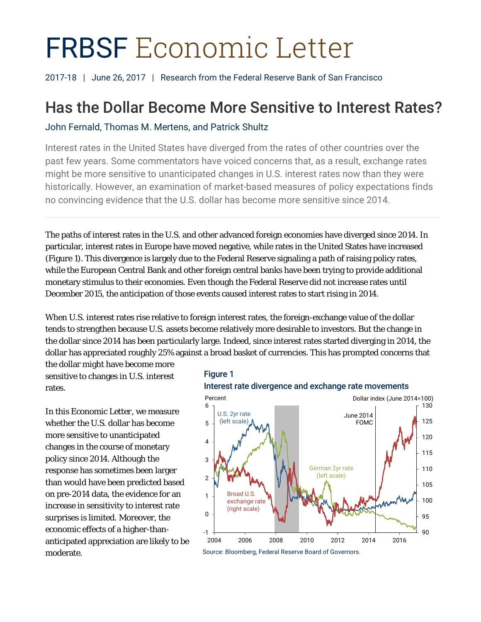# FRBSF Economic Letter

2017-18 | June 26, 2017 | Research from the Federal Reserve Bank of San Francisco

# Has the Dollar Become More Sensitive to Interest Rates?

# John Fernald, Thomas M. Mertens, and Patrick Shultz

Interest rates in the United States have diverged from the rates of other countries over the past few years. Some commentators have voiced concerns that, as a result, exchange rates might be more sensitive to unanticipated changes in U.S. interest rates now than they were historically. However, an examination of market-based measures of policy expectations finds no convincing evidence that the U.S. dollar has become more sensitive since 2014.

The paths of interest rates in the U.S. and other advanced foreign economies have diverged since 2014. In particular, interest rates in Europe have moved negative, while rates in the United States have increased (Figure 1). This divergence is largely due to the Federal Reserve signaling a path of raising policy rates, while the European Central Bank and other foreign central banks have been trying to provide additional monetary stimulus to their economies. Even though the Federal Reserve did not increase rates until December 2015, the anticipation of those events caused interest rates to start rising in 2014.

When U.S. interest rates rise relative to foreign interest rates, the foreign-exchange value of the dollar tends to strengthen because U.S. assets become relatively more desirable to investors. But the change in the dollar since 2014 has been particularly large. Indeed, since interest rates started diverging in 2014, the dollar has appreciated roughly 25% against a broad basket of currencies. This has prompted concerns that

the dollar might have become more sensitive to changes in U.S. interest rates.

In this *Economic Letter*, we measure whether the U.S. dollar has become more sensitive to unanticipated changes in the course of monetary policy since 2014. Although the response has sometimes been larger than would have been predicted based on pre-2014 data, the evidence for an increase in sensitivity to interest rate surprises is limited. Moreover, the economic effects of a higher-thananticipated appreciation are likely to be moderate.



Source: Bloomberg, Federal Reserve Board of Governors.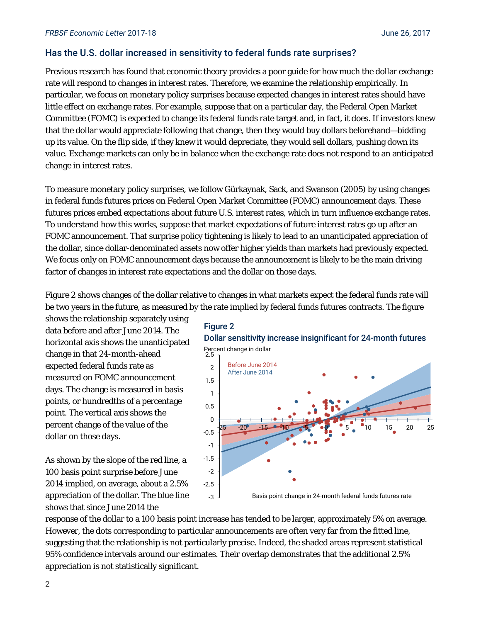# Has the U.S. dollar increased in sensitivity to federal funds rate surprises?

Previous research has found that economic theory provides a poor guide for how much the dollar exchange rate will respond to changes in interest rates. Therefore, we examine the relationship empirically. In particular, we focus on monetary policy surprises because *expected* changes in interest rates should have little effect on exchange rates. For example, suppose that on a particular day, the Federal Open Market Committee (FOMC) is expected to change its federal funds rate target and, in fact, it does. If investors knew that the dollar would appreciate following that change, then they would buy dollars beforehand—bidding up its value. On the flip side, if they knew it would depreciate, they would sell dollars, pushing down its value. Exchange markets can only be in balance when the exchange rate does not respond to an anticipated change in interest rates.

To measure monetary policy surprises, we follow Gürkaynak, Sack, and Swanson (2005) by using changes in federal funds futures prices on Federal Open Market Committee (FOMC) announcement days. These futures prices embed expectations about future U.S. interest rates, which in turn influence exchange rates. To understand how this works, suppose that market expectations of future interest rates go up after an FOMC announcement. That surprise policy tightening is likely to lead to an unanticipated appreciation of the dollar, since dollar-denominated assets now offer higher yields than markets had previously expected. We focus only on FOMC announcement days because the announcement is likely to be the main driving factor of changes in interest rate expectations and the dollar on those days.

Figure 2 shows changes of the dollar relative to changes in what markets expect the federal funds rate will be two years in the future, as measured by the rate implied by federal funds futures contracts. The figure

shows the relationship separately using data before and after June 2014. The horizontal axis shows the unanticipated change in that 24-month-ahead expected federal funds rate as measured on FOMC announcement days. The change is measured in basis points, or hundredths of a percentage point. The vertical axis shows the percent change of the value of the dollar on those days.

As shown by the slope of the red line, a 100 basis point surprise before June 2014 implied, on average, about a 2.5% appreciation of the dollar. The blue line shows that since June 2014 the





response of the dollar to a 100 basis point increase has tended to be larger, approximately 5% on average. However, the dots corresponding to particular announcements are often very far from the fitted line, suggesting that the relationship is not particularly precise. Indeed, the shaded areas represent statistical 95% confidence intervals around our estimates. Their overlap demonstrates that the additional 2.5% appreciation is not statistically significant.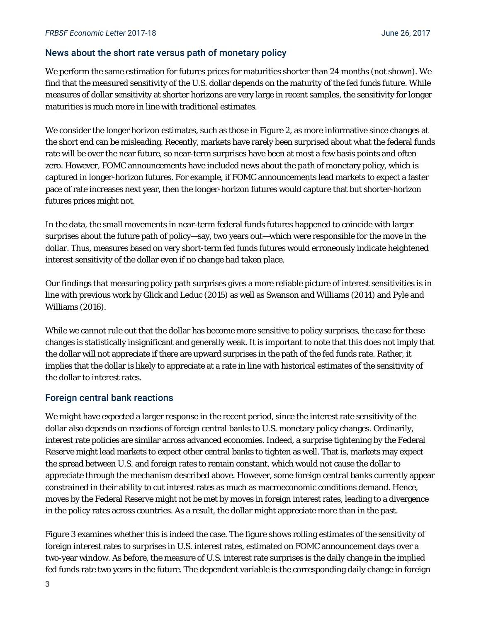# News about the short rate versus path of monetary policy

We perform the same estimation for futures prices for maturities shorter than 24 months (not shown). We find that the measured sensitivity of the U.S. dollar depends on the maturity of the fed funds future. While measures of dollar sensitivity at shorter horizons are very large in recent samples, the sensitivity for longer maturities is much more in line with traditional estimates.

We consider the longer horizon estimates, such as those in Figure 2, as more informative since changes at the short end can be misleading. Recently, markets have rarely been surprised about what the federal funds rate will be over the near future, so near-term surprises have been at most a few basis points and often zero. However, FOMC announcements have included news about the *path* of monetary policy, which is captured in longer-horizon futures. For example, if FOMC announcements lead markets to expect a faster pace of rate increases next year, then the longer-horizon futures would capture that but shorter-horizon futures prices might not.

In the data, the small movements in near-term federal funds futures happened to coincide with larger surprises about the future path of policy—say, two years out—which were responsible for the move in the dollar. Thus, measures based on very short-term fed funds futures would erroneously indicate heightened interest sensitivity of the dollar even if no change had taken place.

Our findings that measuring policy path surprises gives a more reliable picture of interest sensitivities is in line with previous work by Glick and Leduc (2015) as well as Swanson and Williams (2014) and Pyle and Williams (2016).

While we cannot rule out that the dollar has become more sensitive to policy surprises, the case for these changes is statistically insignificant and generally weak. It is important to note that this does not imply that the dollar will *not* appreciate if there are upward surprises in the path of the fed funds rate. Rather, it implies that the dollar is likely to appreciate at a rate in line with historical estimates of the sensitivity of the dollar to interest rates.

## Foreign central bank reactions

We might have expected a larger response in the recent period, since the interest rate sensitivity of the dollar also depends on reactions of foreign central banks to U.S. monetary policy changes. Ordinarily, interest rate policies are similar across advanced economies. Indeed, a surprise tightening by the Federal Reserve might lead markets to expect other central banks to tighten as well. That is, markets may expect the spread between U.S. and foreign rates to remain constant, which would not cause the dollar to appreciate through the mechanism described above. However, some foreign central banks currently appear constrained in their ability to cut interest rates as much as macroeconomic conditions demand. Hence, moves by the Federal Reserve might not be met by moves in foreign interest rates, leading to a divergence in the policy rates across countries. As a result, the dollar might appreciate more than in the past.

Figure 3 examines whether this is indeed the case. The figure shows rolling estimates of the sensitivity of foreign interest rates to surprises in U.S. interest rates, estimated on FOMC announcement days over a two-year window. As before, the measure of U.S. interest rate surprises is the daily change in the implied fed funds rate two years in the future. The dependent variable is the corresponding daily change in foreign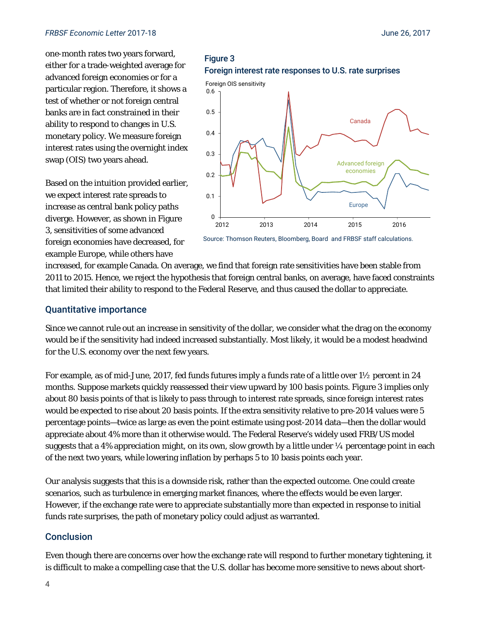#### *FRBSF Economic Letter* 2017-18 June 26, 2017

one-month rates two years forward, either for a trade-weighted average for advanced foreign economies or for a particular region. Therefore, it shows a test of whether or not foreign central banks are in fact constrained in their ability to respond to changes in U.S. monetary policy. We measure foreign interest rates using the overnight index swap (OIS) two years ahead.

Based on the intuition provided earlier, we expect interest rate spreads to increase as central bank policy paths diverge. However, as shown in Figure 3, sensitivities of some advanced foreign economies have decreased, for example Europe, while others have

# Figure 3 Foreign interest rate responses to U.S. rate surprises





increased, for example Canada. On average, we find that foreign rate sensitivities have been stable from 2011 to 2015. Hence, we reject the hypothesis that foreign central banks, on average, have faced constraints that limited their ability to respond to the Federal Reserve, and thus caused the dollar to appreciate.

#### Quantitative importance

Since we cannot rule out an increase in sensitivity of the dollar, we consider what the drag on the economy would be if the sensitivity had indeed increased substantially. Most likely, it would be a modest headwind for the U.S. economy over the next few years.

For example, as of mid-June, 2017, fed funds futures imply a funds rate of a little over 1½ percent in 24 months. Suppose markets quickly reassessed their view upward by 100 basis points. Figure 3 implies only about 80 basis points of that is likely to pass through to interest rate spreads, since foreign interest rates would be expected to rise about 20 basis points. If the extra sensitivity relative to pre-2014 values were 5 percentage points—twice as large as even the point estimate using post-2014 data—then the dollar would appreciate about 4% more than it otherwise would. The Federal Reserve's widely used FRB/US model suggests that a 4% appreciation might, on its own, slow growth by a little under  $\frac{1}{4}$  percentage point in each of the next two years, while lowering inflation by perhaps 5 to 10 basis points each year.

Our analysis suggests that this is a downside risk, rather than the expected outcome. One could create scenarios, such as turbulence in emerging market finances, where the effects would be even larger. However, if the exchange rate were to appreciate substantially more than expected in response to initial funds rate surprises, the path of monetary policy could adjust as warranted.

## Conclusion

Even though there are concerns over how the exchange rate will respond to further monetary tightening, it is difficult to make a compelling case that the U.S. dollar has become more sensitive to news about short-